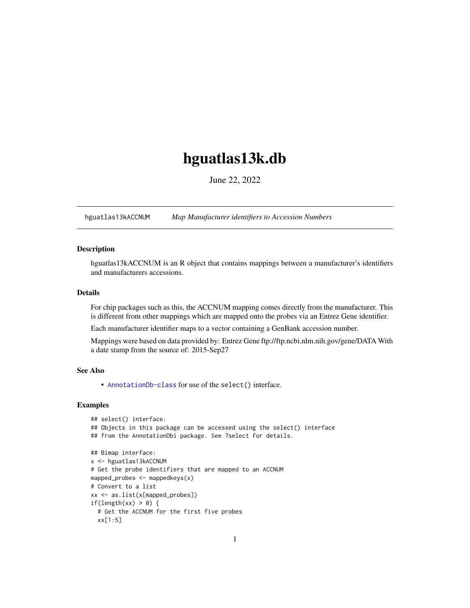## <span id="page-0-1"></span>hguatlas13k.db

June 22, 2022

<span id="page-0-0"></span>hguatlas13kACCNUM *Map Manufacturer identifiers to Accession Numbers*

#### Description

hguatlas13kACCNUM is an R object that contains mappings between a manufacturer's identifiers and manufacturers accessions.

## Details

For chip packages such as this, the ACCNUM mapping comes directly from the manufacturer. This is different from other mappings which are mapped onto the probes via an Entrez Gene identifier.

Each manufacturer identifier maps to a vector containing a GenBank accession number.

Mappings were based on data provided by: Entrez Gene ftp://ftp.ncbi.nlm.nih.gov/gene/DATA With a date stamp from the source of: 2015-Sep27

#### See Also

• AnnotationDb-class for use of the select() interface.

```
## select() interface:
## Objects in this package can be accessed using the select() interface
## from the AnnotationDbi package. See ?select for details.
## Bimap interface:
x <- hguatlas13kACCNUM
# Get the probe identifiers that are mapped to an ACCNUM
mapped_probes <- mappedkeys(x)
# Convert to a list
xx <- as.list(x[mapped_probes])
if(length(xx) > 0) {
 # Get the ACCNUM for the first five probes
 xx[1:5]
```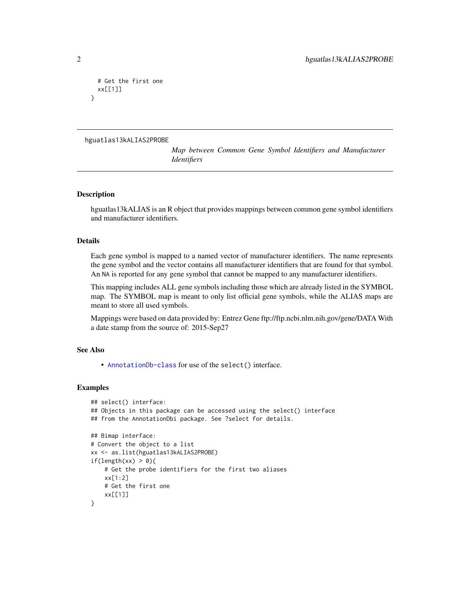```
# Get the first one
 xx[[1]]
}
```

```
hguatlas13kALIAS2PROBE
```
*Map between Common Gene Symbol Identifiers and Manufacturer Identifiers*

#### Description

hguatlas13kALIAS is an R object that provides mappings between common gene symbol identifiers and manufacturer identifiers.

## Details

Each gene symbol is mapped to a named vector of manufacturer identifiers. The name represents the gene symbol and the vector contains all manufacturer identifiers that are found for that symbol. An NA is reported for any gene symbol that cannot be mapped to any manufacturer identifiers.

This mapping includes ALL gene symbols including those which are already listed in the SYMBOL map. The SYMBOL map is meant to only list official gene symbols, while the ALIAS maps are meant to store all used symbols.

Mappings were based on data provided by: Entrez Gene ftp://ftp.ncbi.nlm.nih.gov/gene/DATA With a date stamp from the source of: 2015-Sep27

#### See Also

• [AnnotationDb-class](#page-0-0) for use of the select() interface.

```
## select() interface:
## Objects in this package can be accessed using the select() interface
## from the AnnotationDbi package. See ?select for details.
## Bimap interface:
# Convert the object to a list
xx <- as.list(hguatlas13kALIAS2PROBE)
if(length(xx) > 0){
    # Get the probe identifiers for the first two aliases
    xx[1:2]
   # Get the first one
   xx[[1]]
}
```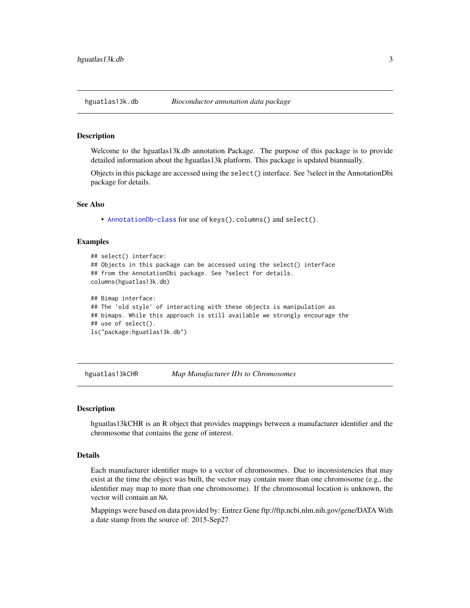<span id="page-2-0"></span>

#### Description

Welcome to the hguatlas13k.db annotation Package. The purpose of this package is to provide detailed information about the hguatlas13k platform. This package is updated biannually.

Objects in this package are accessed using the select() interface. See ?select in the AnnotationDbi package for details.

#### See Also

• [AnnotationDb-class](#page-0-0) for use of keys(), columns() and select().

#### Examples

```
## select() interface:
## Objects in this package can be accessed using the select() interface
## from the AnnotationDbi package. See ?select for details.
columns(hguatlas13k.db)
## Bimap interface:
## The 'old style' of interacting with these objects is manipulation as
## bimaps. While this approach is still available we strongly encourage the
## use of select().
ls("package:hguatlas13k.db")
```
hguatlas13kCHR *Map Manufacturer IDs to Chromosomes*

#### **Description**

hguatlas13kCHR is an R object that provides mappings between a manufacturer identifier and the chromosome that contains the gene of interest.

#### Details

Each manufacturer identifier maps to a vector of chromosomes. Due to inconsistencies that may exist at the time the object was built, the vector may contain more than one chromosome (e.g., the identifier may map to more than one chromosome). If the chromosomal location is unknown, the vector will contain an NA.

Mappings were based on data provided by: Entrez Gene ftp://ftp.ncbi.nlm.nih.gov/gene/DATA With a date stamp from the source of: 2015-Sep27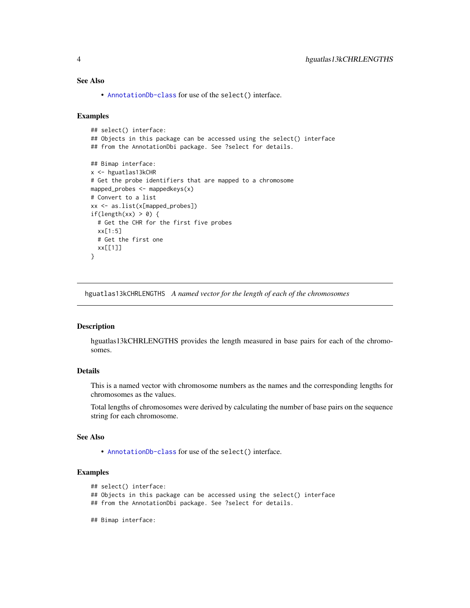## <span id="page-3-0"></span>See Also

• [AnnotationDb-class](#page-0-0) for use of the select() interface.

#### Examples

```
## select() interface:
## Objects in this package can be accessed using the select() interface
## from the AnnotationDbi package. See ?select for details.
## Bimap interface:
x <- hguatlas13kCHR
# Get the probe identifiers that are mapped to a chromosome
mapped_probes <- mappedkeys(x)
# Convert to a list
xx <- as.list(x[mapped_probes])
if(length(xx) > 0) {
  # Get the CHR for the first five probes
  xx[1:5]
  # Get the first one
  xx[[1]]
}
```
hguatlas13kCHRLENGTHS *A named vector for the length of each of the chromosomes*

#### Description

hguatlas13kCHRLENGTHS provides the length measured in base pairs for each of the chromosomes.

## Details

This is a named vector with chromosome numbers as the names and the corresponding lengths for chromosomes as the values.

Total lengths of chromosomes were derived by calculating the number of base pairs on the sequence string for each chromosome.

#### See Also

• [AnnotationDb-class](#page-0-0) for use of the select() interface.

```
## select() interface:
```
- ## Objects in this package can be accessed using the select() interface
- ## from the AnnotationDbi package. See ?select for details.
- ## Bimap interface: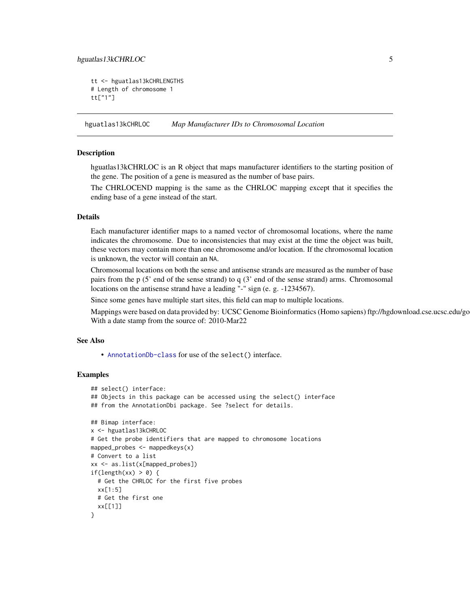## <span id="page-4-0"></span>hguatlas13kCHRLOC 5

```
tt <- hguatlas13kCHRLENGTHS
# Length of chromosome 1
tt["1"]
```
hguatlas13kCHRLOC *Map Manufacturer IDs to Chromosomal Location*

#### Description

hguatlas13kCHRLOC is an R object that maps manufacturer identifiers to the starting position of the gene. The position of a gene is measured as the number of base pairs.

The CHRLOCEND mapping is the same as the CHRLOC mapping except that it specifies the ending base of a gene instead of the start.

#### Details

Each manufacturer identifier maps to a named vector of chromosomal locations, where the name indicates the chromosome. Due to inconsistencies that may exist at the time the object was built, these vectors may contain more than one chromosome and/or location. If the chromosomal location is unknown, the vector will contain an NA.

Chromosomal locations on both the sense and antisense strands are measured as the number of base pairs from the p (5' end of the sense strand) to q (3' end of the sense strand) arms. Chromosomal locations on the antisense strand have a leading "-" sign (e. g. -1234567).

Since some genes have multiple start sites, this field can map to multiple locations.

Mappings were based on data provided by: UCSC Genome Bioinformatics (Homo sapiens) ftp://hgdownload.cse.ucsc.edu/go With a date stamp from the source of: 2010-Mar22

#### See Also

• [AnnotationDb-class](#page-0-0) for use of the select() interface.

```
## select() interface:
## Objects in this package can be accessed using the select() interface
## from the AnnotationDbi package. See ?select for details.
## Bimap interface:
x <- hguatlas13kCHRLOC
# Get the probe identifiers that are mapped to chromosome locations
mapped_probes <- mappedkeys(x)
# Convert to a list
xx <- as.list(x[mapped_probes])
if(length(xx) > 0) {
 # Get the CHRLOC for the first five probes
 xx[1:5]
 # Get the first one
 xx[[1]]
}
```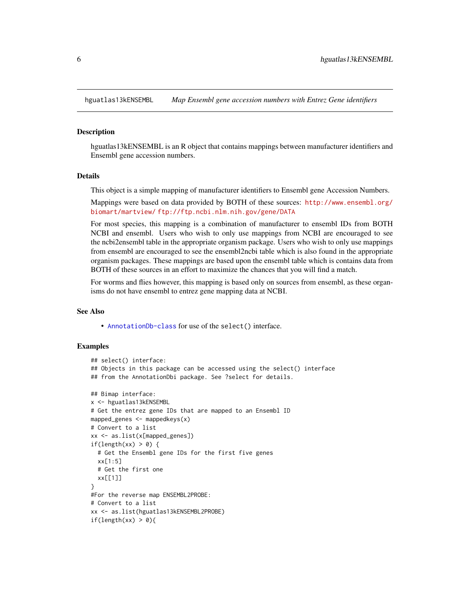<span id="page-5-0"></span>

#### Description

hguatlas13kENSEMBL is an R object that contains mappings between manufacturer identifiers and Ensembl gene accession numbers.

#### Details

This object is a simple mapping of manufacturer identifiers to Ensembl gene Accession Numbers.

Mappings were based on data provided by BOTH of these sources: [http://www.ensembl.org/](http://www.ensembl.org/biomart/martview/) [biomart/martview/](http://www.ensembl.org/biomart/martview/) <ftp://ftp.ncbi.nlm.nih.gov/gene/DATA>

For most species, this mapping is a combination of manufacturer to ensembl IDs from BOTH NCBI and ensembl. Users who wish to only use mappings from NCBI are encouraged to see the ncbi2ensembl table in the appropriate organism package. Users who wish to only use mappings from ensembl are encouraged to see the ensembl2ncbi table which is also found in the appropriate organism packages. These mappings are based upon the ensembl table which is contains data from BOTH of these sources in an effort to maximize the chances that you will find a match.

For worms and flies however, this mapping is based only on sources from ensembl, as these organisms do not have ensembl to entrez gene mapping data at NCBI.

#### See Also

• [AnnotationDb-class](#page-0-0) for use of the select() interface.

```
## select() interface:
## Objects in this package can be accessed using the select() interface
## from the AnnotationDbi package. See ?select for details.
## Bimap interface:
x <- hguatlas13kENSEMBL
# Get the entrez gene IDs that are mapped to an Ensembl ID
mapped_genes \leq mappedkeys(x)
# Convert to a list
xx <- as.list(x[mapped_genes])
if(length(xx) > 0) {
 # Get the Ensembl gene IDs for the first five genes
 xx[1:5]
 # Get the first one
 xx[[1]]
}
#For the reverse map ENSEMBL2PROBE:
# Convert to a list
xx <- as.list(hguatlas13kENSEMBL2PROBE)
if(length(xx) > 0){
```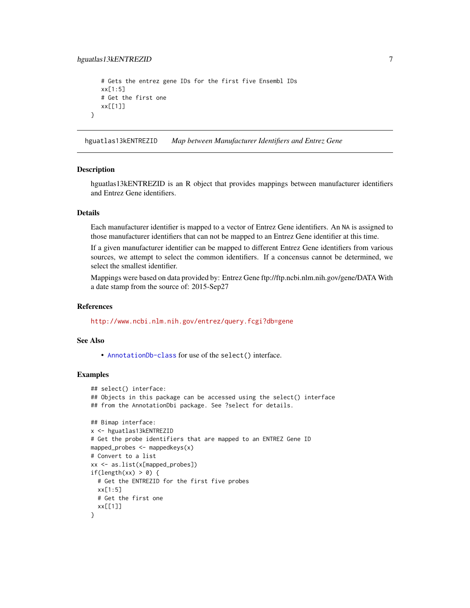```
# Gets the entrez gene IDs for the first five Ensembl IDs
  xx[1:5]
   # Get the first one
  xx[[1]]
}
```
hguatlas13kENTREZID *Map between Manufacturer Identifiers and Entrez Gene*

#### **Description**

hguatlas13kENTREZID is an R object that provides mappings between manufacturer identifiers and Entrez Gene identifiers.

#### Details

Each manufacturer identifier is mapped to a vector of Entrez Gene identifiers. An NA is assigned to those manufacturer identifiers that can not be mapped to an Entrez Gene identifier at this time.

If a given manufacturer identifier can be mapped to different Entrez Gene identifiers from various sources, we attempt to select the common identifiers. If a concensus cannot be determined, we select the smallest identifier.

Mappings were based on data provided by: Entrez Gene ftp://ftp.ncbi.nlm.nih.gov/gene/DATA With a date stamp from the source of: 2015-Sep27

#### References

<http://www.ncbi.nlm.nih.gov/entrez/query.fcgi?db=gene>

#### See Also

• [AnnotationDb-class](#page-0-0) for use of the select() interface.

```
## select() interface:
## Objects in this package can be accessed using the select() interface
## from the AnnotationDbi package. See ?select for details.
## Bimap interface:
x <- hguatlas13kENTREZID
# Get the probe identifiers that are mapped to an ENTREZ Gene ID
mapped_probes <- mappedkeys(x)
# Convert to a list
xx <- as.list(x[mapped_probes])
if(length(xx) > 0) {
 # Get the ENTREZID for the first five probes
 xx[1:5]
 # Get the first one
 xx[[1]]
}
```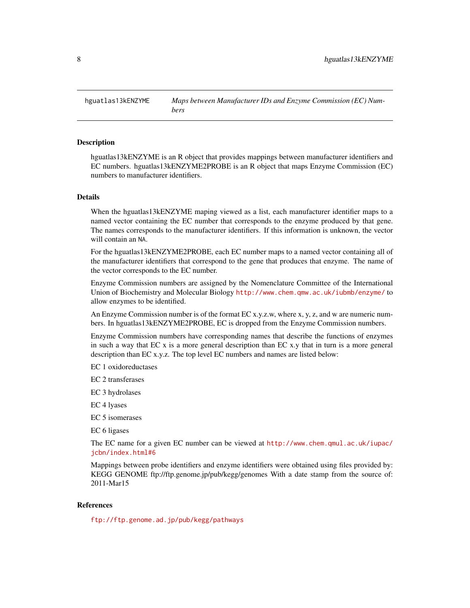<span id="page-7-0"></span>hguatlas13kENZYME *Maps between Manufacturer IDs and Enzyme Commission (EC) Numbers*

#### Description

hguatlas13kENZYME is an R object that provides mappings between manufacturer identifiers and EC numbers. hguatlas13kENZYME2PROBE is an R object that maps Enzyme Commission (EC) numbers to manufacturer identifiers.

#### Details

When the hguatlas13kENZYME maping viewed as a list, each manufacturer identifier maps to a named vector containing the EC number that corresponds to the enzyme produced by that gene. The names corresponds to the manufacturer identifiers. If this information is unknown, the vector will contain an NA.

For the hguatlas13kENZYME2PROBE, each EC number maps to a named vector containing all of the manufacturer identifiers that correspond to the gene that produces that enzyme. The name of the vector corresponds to the EC number.

Enzyme Commission numbers are assigned by the Nomenclature Committee of the International Union of Biochemistry and Molecular Biology <http://www.chem.qmw.ac.uk/iubmb/enzyme/> to allow enzymes to be identified.

An Enzyme Commission number is of the format EC x.y.z.w, where x, y, z, and w are numeric numbers. In hguatlas13kENZYME2PROBE, EC is dropped from the Enzyme Commission numbers.

Enzyme Commission numbers have corresponding names that describe the functions of enzymes in such a way that EC x is a more general description than EC x.y that in turn is a more general description than EC x.y.z. The top level EC numbers and names are listed below:

EC 1 oxidoreductases

EC 2 transferases

EC 3 hydrolases

EC 4 lyases

EC 5 isomerases

EC 6 ligases

The EC name for a given EC number can be viewed at [http://www.chem.qmul.ac.uk/iupac/](http://www.chem.qmul.ac.uk/iupac/jcbn/index.html#6) [jcbn/index.html#6](http://www.chem.qmul.ac.uk/iupac/jcbn/index.html#6)

Mappings between probe identifiers and enzyme identifiers were obtained using files provided by: KEGG GENOME ftp://ftp.genome.jp/pub/kegg/genomes With a date stamp from the source of: 2011-Mar15

#### References

<ftp://ftp.genome.ad.jp/pub/kegg/pathways>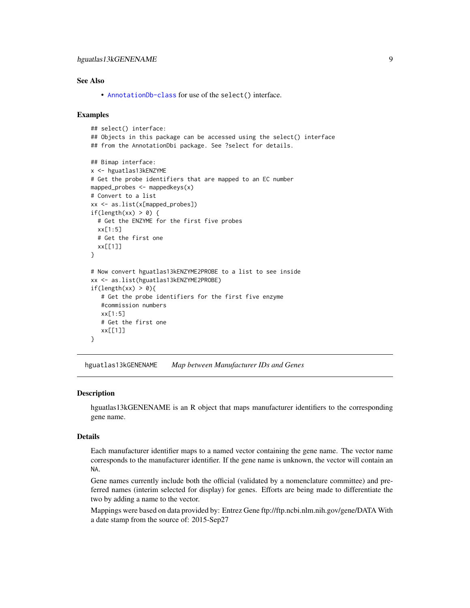#### <span id="page-8-0"></span>See Also

• [AnnotationDb-class](#page-0-0) for use of the select() interface.

#### Examples

```
## select() interface:
## Objects in this package can be accessed using the select() interface
## from the AnnotationDbi package. See ?select for details.
## Bimap interface:
x <- hguatlas13kENZYME
# Get the probe identifiers that are mapped to an EC number
mapped_probes <- mappedkeys(x)
# Convert to a list
xx <- as.list(x[mapped_probes])
if(length(xx) > 0) {
  # Get the ENZYME for the first five probes
  xx[1:5]
  # Get the first one
  xx[[1]]
}
# Now convert hguatlas13kENZYME2PROBE to a list to see inside
xx <- as.list(hguatlas13kENZYME2PROBE)
if(length(xx) > 0)# Get the probe identifiers for the first five enzyme
   #commission numbers
   xx[1:5]
   # Get the first one
   xx[[1]]
}
```
hguatlas13kGENENAME *Map between Manufacturer IDs and Genes*

#### Description

hguatlas13kGENENAME is an R object that maps manufacturer identifiers to the corresponding gene name.

#### Details

Each manufacturer identifier maps to a named vector containing the gene name. The vector name corresponds to the manufacturer identifier. If the gene name is unknown, the vector will contain an NA.

Gene names currently include both the official (validated by a nomenclature committee) and preferred names (interim selected for display) for genes. Efforts are being made to differentiate the two by adding a name to the vector.

Mappings were based on data provided by: Entrez Gene ftp://ftp.ncbi.nlm.nih.gov/gene/DATA With a date stamp from the source of: 2015-Sep27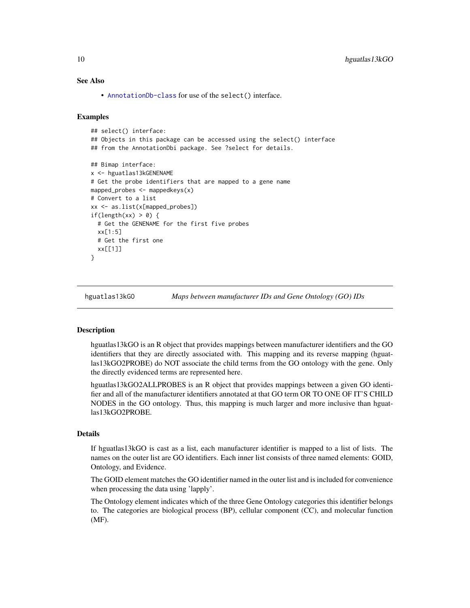#### See Also

• [AnnotationDb-class](#page-0-0) for use of the select() interface.

#### Examples

```
## select() interface:
## Objects in this package can be accessed using the select() interface
## from the AnnotationDbi package. See ?select for details.
## Bimap interface:
x <- hguatlas13kGENENAME
# Get the probe identifiers that are mapped to a gene name
mapped_probes <- mappedkeys(x)
# Convert to a list
xx <- as.list(x[mapped_probes])
if(length(xx) > 0) {
 # Get the GENENAME for the first five probes
 xx[1:5]
 # Get the first one
 xx[[1]]
}
```
hguatlas13kGO *Maps between manufacturer IDs and Gene Ontology (GO) IDs*

#### <span id="page-9-0"></span>Description

hguatlas13kGO is an R object that provides mappings between manufacturer identifiers and the GO identifiers that they are directly associated with. This mapping and its reverse mapping (hguatlas13kGO2PROBE) do NOT associate the child terms from the GO ontology with the gene. Only the directly evidenced terms are represented here.

hguatlas13kGO2ALLPROBES is an R object that provides mappings between a given GO identifier and all of the manufacturer identifiers annotated at that GO term OR TO ONE OF IT'S CHILD NODES in the GO ontology. Thus, this mapping is much larger and more inclusive than hguatlas13kGO2PROBE.

#### Details

If hguatlas13kGO is cast as a list, each manufacturer identifier is mapped to a list of lists. The names on the outer list are GO identifiers. Each inner list consists of three named elements: GOID, Ontology, and Evidence.

The GOID element matches the GO identifier named in the outer list and is included for convenience when processing the data using 'lapply'.

The Ontology element indicates which of the three Gene Ontology categories this identifier belongs to. The categories are biological process (BP), cellular component (CC), and molecular function (MF).

<span id="page-9-1"></span>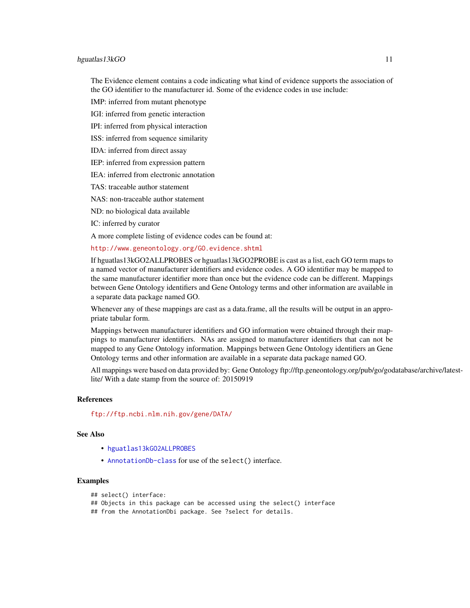#### <span id="page-10-0"></span>hguatlas13kGO 11

The Evidence element contains a code indicating what kind of evidence supports the association of the GO identifier to the manufacturer id. Some of the evidence codes in use include:

IMP: inferred from mutant phenotype

IGI: inferred from genetic interaction

IPI: inferred from physical interaction

ISS: inferred from sequence similarity

IDA: inferred from direct assay

IEP: inferred from expression pattern

IEA: inferred from electronic annotation

TAS: traceable author statement

NAS: non-traceable author statement

ND: no biological data available

IC: inferred by curator

A more complete listing of evidence codes can be found at:

<http://www.geneontology.org/GO.evidence.shtml>

If hguatlas13kGO2ALLPROBES or hguatlas13kGO2PROBE is cast as a list, each GO term maps to a named vector of manufacturer identifiers and evidence codes. A GO identifier may be mapped to the same manufacturer identifier more than once but the evidence code can be different. Mappings between Gene Ontology identifiers and Gene Ontology terms and other information are available in a separate data package named GO.

Whenever any of these mappings are cast as a data.frame, all the results will be output in an appropriate tabular form.

Mappings between manufacturer identifiers and GO information were obtained through their mappings to manufacturer identifiers. NAs are assigned to manufacturer identifiers that can not be mapped to any Gene Ontology information. Mappings between Gene Ontology identifiers an Gene Ontology terms and other information are available in a separate data package named GO.

All mappings were based on data provided by: Gene Ontology ftp://ftp.geneontology.org/pub/go/godatabase/archive/latestlite/ With a date stamp from the source of: 20150919

#### References

<ftp://ftp.ncbi.nlm.nih.gov/gene/DATA/>

## See Also

- [hguatlas13kGO2ALLPROBES](#page-9-0)
- [AnnotationDb-class](#page-0-0) for use of the select() interface.

## Examples

```
## select() interface:
```
## Objects in this package can be accessed using the select() interface

## from the AnnotationDbi package. See ?select for details.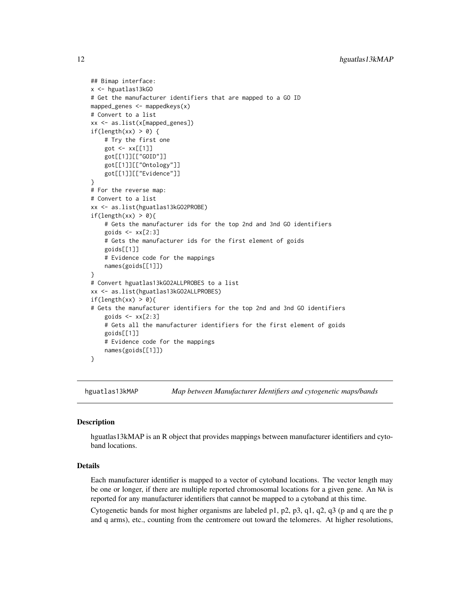```
## Bimap interface:
x <- hguatlas13kGO
# Get the manufacturer identifiers that are mapped to a GO ID
mapped_genes <- mappedkeys(x)
# Convert to a list
xx <- as.list(x[mapped_genes])
if(length(xx) > 0) {
    # Try the first one
    got \leq -xx[[1]]got[[1]][["GOID"]]
    got[[1]][["Ontology"]]
    got[[1]][["Evidence"]]
}
# For the reverse map:
# Convert to a list
xx <- as.list(hguatlas13kGO2PROBE)
if(length(xx) > 0){
    # Gets the manufacturer ids for the top 2nd and 3nd GO identifiers
    goids \leq -x \times [2:3]# Gets the manufacturer ids for the first element of goids
    goids[[1]]
    # Evidence code for the mappings
    names(goids[[1]])
}
# Convert hguatlas13kGO2ALLPROBES to a list
xx <- as.list(hguatlas13kGO2ALLPROBES)
if(length(xx) > 0){
# Gets the manufacturer identifiers for the top 2nd and 3nd GO identifiers
    goids \leq -x \times [2:3]# Gets all the manufacturer identifiers for the first element of goids
    goids[[1]]
    # Evidence code for the mappings
    names(goids[[1]])
}
```
hguatlas13kMAP *Map between Manufacturer Identifiers and cytogenetic maps/bands*

#### Description

hguatlas13kMAP is an R object that provides mappings between manufacturer identifiers and cytoband locations.

#### Details

Each manufacturer identifier is mapped to a vector of cytoband locations. The vector length may be one or longer, if there are multiple reported chromosomal locations for a given gene. An NA is reported for any manufacturer identifiers that cannot be mapped to a cytoband at this time.

Cytogenetic bands for most higher organisms are labeled p1, p2, p3, q1, q2, q3 (p and q are the p and q arms), etc., counting from the centromere out toward the telomeres. At higher resolutions,

<span id="page-11-0"></span>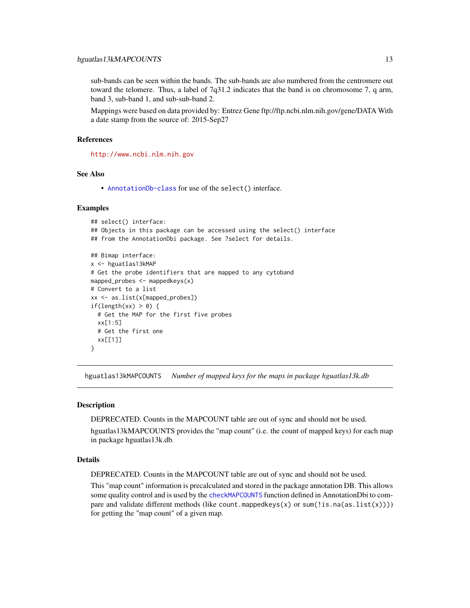<span id="page-12-0"></span>sub-bands can be seen within the bands. The sub-bands are also numbered from the centromere out toward the telomere. Thus, a label of 7q31.2 indicates that the band is on chromosome 7, q arm, band 3, sub-band 1, and sub-sub-band 2.

Mappings were based on data provided by: Entrez Gene ftp://ftp.ncbi.nlm.nih.gov/gene/DATA With a date stamp from the source of: 2015-Sep27

#### References

<http://www.ncbi.nlm.nih.gov>

#### See Also

• [AnnotationDb-class](#page-0-0) for use of the select() interface.

#### Examples

```
## select() interface:
## Objects in this package can be accessed using the select() interface
## from the AnnotationDbi package. See ?select for details.
## Bimap interface:
x <- hguatlas13kMAP
# Get the probe identifiers that are mapped to any cytoband
mapped_probes <- mappedkeys(x)
# Convert to a list
xx <- as.list(x[mapped_probes])
if(length(xx) > 0) {
  # Get the MAP for the first five probes
  xx[1:5]
  # Get the first one
  xx[[1]]
}
```
hguatlas13kMAPCOUNTS *Number of mapped keys for the maps in package hguatlas13k.db*

#### Description

DEPRECATED. Counts in the MAPCOUNT table are out of sync and should not be used.

hguatlas13kMAPCOUNTS provides the "map count" (i.e. the count of mapped keys) for each map in package hguatlas13k.db.

#### Details

DEPRECATED. Counts in the MAPCOUNT table are out of sync and should not be used.

This "map count" information is precalculated and stored in the package annotation DB. This allows some quality control and is used by the [checkMAPCOUNTS](#page-0-0) function defined in AnnotationDbi to compare and validate different methods (like count.mappedkeys(x) or sum(!is.na(as.list(x)))) for getting the "map count" of a given map.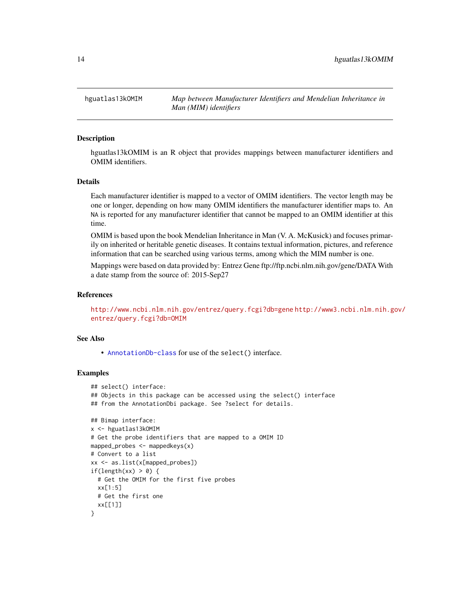<span id="page-13-0"></span>hguatlas13kOMIM *Map between Manufacturer Identifiers and Mendelian Inheritance in Man (MIM) identifiers*

#### Description

hguatlas13kOMIM is an R object that provides mappings between manufacturer identifiers and OMIM identifiers.

## Details

Each manufacturer identifier is mapped to a vector of OMIM identifiers. The vector length may be one or longer, depending on how many OMIM identifiers the manufacturer identifier maps to. An NA is reported for any manufacturer identifier that cannot be mapped to an OMIM identifier at this time.

OMIM is based upon the book Mendelian Inheritance in Man (V. A. McKusick) and focuses primarily on inherited or heritable genetic diseases. It contains textual information, pictures, and reference information that can be searched using various terms, among which the MIM number is one.

Mappings were based on data provided by: Entrez Gene ftp://ftp.ncbi.nlm.nih.gov/gene/DATA With a date stamp from the source of: 2015-Sep27

#### References

<http://www.ncbi.nlm.nih.gov/entrez/query.fcgi?db=gene> [http://www3.ncbi.nlm.nih.g](http://www3.ncbi.nlm.nih.gov/entrez/query.fcgi?db=OMIM)ov/ [entrez/query.fcgi?db=OMIM](http://www3.ncbi.nlm.nih.gov/entrez/query.fcgi?db=OMIM)

#### See Also

• [AnnotationDb-class](#page-0-0) for use of the select() interface.

```
## select() interface:
## Objects in this package can be accessed using the select() interface
## from the AnnotationDbi package. See ?select for details.
## Bimap interface:
x <- hguatlas13kOMIM
# Get the probe identifiers that are mapped to a OMIM ID
mapped_probes \leq mappedkeys(x)
# Convert to a list
xx <- as.list(x[mapped_probes])
if(length(xx) > 0) {
 # Get the OMIM for the first five probes
 xx[1:5]
 # Get the first one
 xx[[1]]
}
```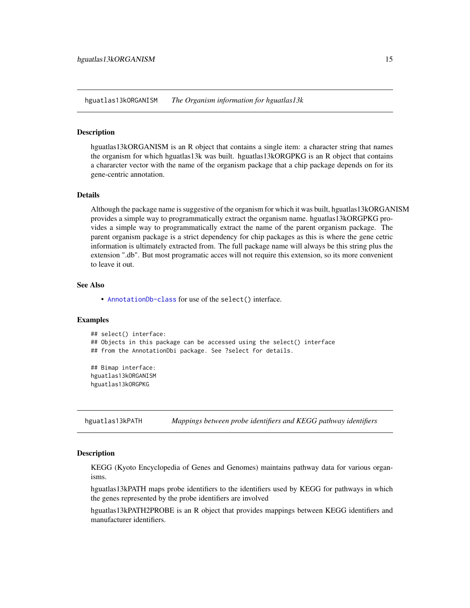<span id="page-14-0"></span>hguatlas13kORGANISM *The Organism information for hguatlas13k*

#### **Description**

hguatlas13kORGANISM is an R object that contains a single item: a character string that names the organism for which hguatlas13k was built. hguatlas13kORGPKG is an R object that contains a chararcter vector with the name of the organism package that a chip package depends on for its gene-centric annotation.

#### Details

Although the package name is suggestive of the organism for which it was built, hguatlas13kORGANISM provides a simple way to programmatically extract the organism name. hguatlas13kORGPKG provides a simple way to programmatically extract the name of the parent organism package. The parent organism package is a strict dependency for chip packages as this is where the gene cetric information is ultimately extracted from. The full package name will always be this string plus the extension ".db". But most programatic acces will not require this extension, so its more convenient to leave it out.

#### See Also

• [AnnotationDb-class](#page-0-0) for use of the select() interface.

#### Examples

```
## select() interface:
## Objects in this package can be accessed using the select() interface
## from the AnnotationDbi package. See ?select for details.
## Bimap interface:
```
hguatlas13kORGANISM hguatlas13kORGPKG

hguatlas13kPATH *Mappings between probe identifiers and KEGG pathway identifiers*

## Description

KEGG (Kyoto Encyclopedia of Genes and Genomes) maintains pathway data for various organisms.

hguatlas13kPATH maps probe identifiers to the identifiers used by KEGG for pathways in which the genes represented by the probe identifiers are involved

hguatlas13kPATH2PROBE is an R object that provides mappings between KEGG identifiers and manufacturer identifiers.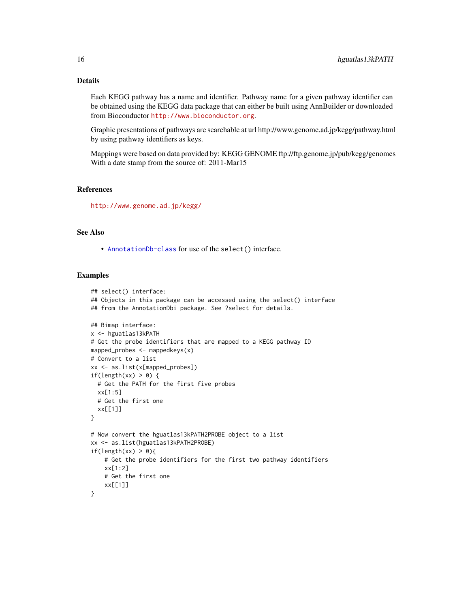## Details

Each KEGG pathway has a name and identifier. Pathway name for a given pathway identifier can be obtained using the KEGG data package that can either be built using AnnBuilder or downloaded from Bioconductor <http://www.bioconductor.org>.

Graphic presentations of pathways are searchable at url http://www.genome.ad.jp/kegg/pathway.html by using pathway identifiers as keys.

Mappings were based on data provided by: KEGG GENOME ftp://ftp.genome.jp/pub/kegg/genomes With a date stamp from the source of: 2011-Mar15

## References

<http://www.genome.ad.jp/kegg/>

## See Also

• [AnnotationDb-class](#page-0-0) for use of the select() interface.

```
## select() interface:
## Objects in this package can be accessed using the select() interface
## from the AnnotationDbi package. See ?select for details.
## Bimap interface:
x <- hguatlas13kPATH
# Get the probe identifiers that are mapped to a KEGG pathway ID
mapped_probes <- mappedkeys(x)
# Convert to a list
xx <- as.list(x[mapped_probes])
if(length(xx) > 0) {
  # Get the PATH for the first five probes
  xx[1:5]
  # Get the first one
  xx[[1]]
}
# Now convert the hguatlas13kPATH2PROBE object to a list
xx <- as.list(hguatlas13kPATH2PROBE)
if(length(xx) > 0){
    # Get the probe identifiers for the first two pathway identifiers
    xx[1:2]
    # Get the first one
    xx[[1]]
}
```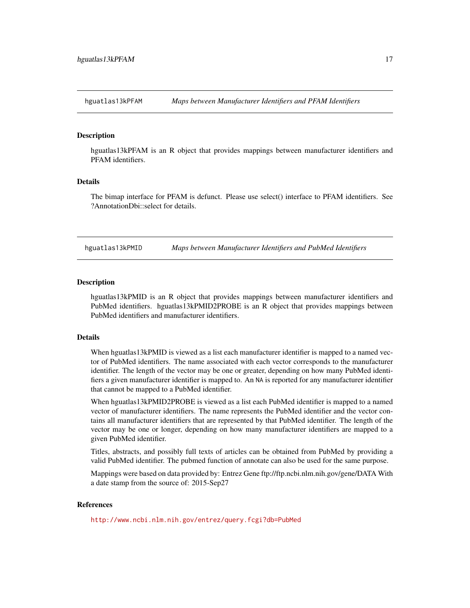<span id="page-16-0"></span>

#### **Description**

hguatlas13kPFAM is an R object that provides mappings between manufacturer identifiers and PFAM identifiers.

## Details

The bimap interface for PFAM is defunct. Please use select() interface to PFAM identifiers. See ?AnnotationDbi::select for details.

hguatlas13kPMID *Maps between Manufacturer Identifiers and PubMed Identifiers*

#### Description

hguatlas13kPMID is an R object that provides mappings between manufacturer identifiers and PubMed identifiers. hguatlas13kPMID2PROBE is an R object that provides mappings between PubMed identifiers and manufacturer identifiers.

## **Details**

When hguatlas13kPMID is viewed as a list each manufacturer identifier is mapped to a named vector of PubMed identifiers. The name associated with each vector corresponds to the manufacturer identifier. The length of the vector may be one or greater, depending on how many PubMed identifiers a given manufacturer identifier is mapped to. An NA is reported for any manufacturer identifier that cannot be mapped to a PubMed identifier.

When hguatlas13kPMID2PROBE is viewed as a list each PubMed identifier is mapped to a named vector of manufacturer identifiers. The name represents the PubMed identifier and the vector contains all manufacturer identifiers that are represented by that PubMed identifier. The length of the vector may be one or longer, depending on how many manufacturer identifiers are mapped to a given PubMed identifier.

Titles, abstracts, and possibly full texts of articles can be obtained from PubMed by providing a valid PubMed identifier. The pubmed function of annotate can also be used for the same purpose.

Mappings were based on data provided by: Entrez Gene ftp://ftp.ncbi.nlm.nih.gov/gene/DATA With a date stamp from the source of: 2015-Sep27

#### References

<http://www.ncbi.nlm.nih.gov/entrez/query.fcgi?db=PubMed>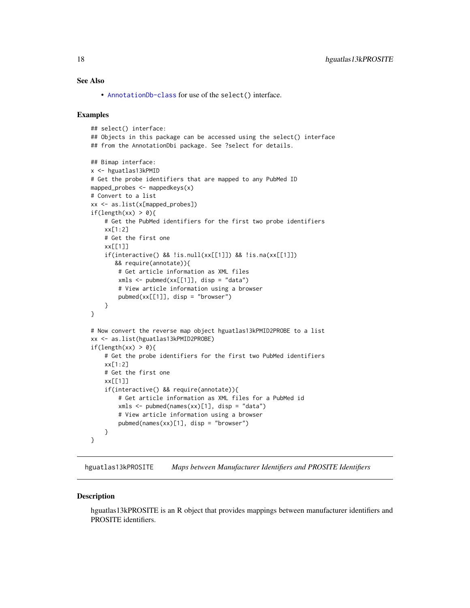#### <span id="page-17-0"></span>See Also

• [AnnotationDb-class](#page-0-0) for use of the select() interface.

#### Examples

```
## select() interface:
## Objects in this package can be accessed using the select() interface
## from the AnnotationDbi package. See ?select for details.
## Bimap interface:
x <- hguatlas13kPMID
# Get the probe identifiers that are mapped to any PubMed ID
mapped_probes \leq mappedkeys(x)
# Convert to a list
xx <- as.list(x[mapped_probes])
if(length(xx) > 0)# Get the PubMed identifiers for the first two probe identifiers
    xx[1:2]
    # Get the first one
    xx[[1]]
    if(interactive() && !is.null(xx[[1]]) && !is.na(xx[[1]])
       && require(annotate)){
        # Get article information as XML files
        xmls < -pubmed(xx[[1]], disp = "data")# View article information using a browser
        pubmed(xx[[1]], disp = "browser")
    }
}
# Now convert the reverse map object hguatlas13kPMID2PROBE to a list
xx <- as.list(hguatlas13kPMID2PROBE)
if(length(xx) > 0){
    # Get the probe identifiers for the first two PubMed identifiers
    xx[1:2]
    # Get the first one
    xx[[1]]
    if(interactive() && require(annotate)){
        # Get article information as XML files for a PubMed id
        xmls <- pubmed(names(xx)[1], disp = "data")
        # View article information using a browser
        pubmed(names(xx)[1], disp = "browser")}
}
```
hguatlas13kPROSITE *Maps between Manufacturer Identifiers and PROSITE Identifiers*

#### **Description**

hguatlas13kPROSITE is an R object that provides mappings between manufacturer identifiers and PROSITE identifiers.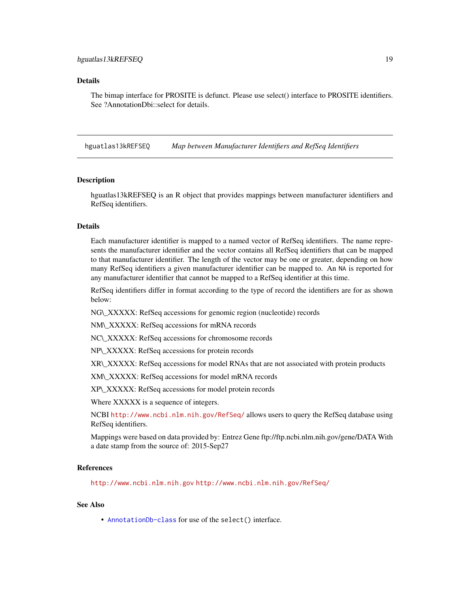#### <span id="page-18-0"></span>Details

The bimap interface for PROSITE is defunct. Please use select() interface to PROSITE identifiers. See ?AnnotationDbi::select for details.

hguatlas13kREFSEQ *Map between Manufacturer Identifiers and RefSeq Identifiers*

#### **Description**

hguatlas13kREFSEQ is an R object that provides mappings between manufacturer identifiers and RefSeq identifiers.

#### Details

Each manufacturer identifier is mapped to a named vector of RefSeq identifiers. The name represents the manufacturer identifier and the vector contains all RefSeq identifiers that can be mapped to that manufacturer identifier. The length of the vector may be one or greater, depending on how many RefSeq identifiers a given manufacturer identifier can be mapped to. An NA is reported for any manufacturer identifier that cannot be mapped to a RefSeq identifier at this time.

RefSeq identifiers differ in format according to the type of record the identifiers are for as shown below:

NG\\_XXXXX: RefSeq accessions for genomic region (nucleotide) records

NM\\_XXXXX: RefSeq accessions for mRNA records

NC\\_XXXXX: RefSeq accessions for chromosome records

NP\\_XXXXX: RefSeq accessions for protein records

XR\\_XXXXX: RefSeq accessions for model RNAs that are not associated with protein products

XM\\_XXXXX: RefSeq accessions for model mRNA records

XP\\_XXXXX: RefSeq accessions for model protein records

Where XXXXX is a sequence of integers.

NCBI <http://www.ncbi.nlm.nih.gov/RefSeq/> allows users to query the RefSeq database using RefSeq identifiers.

Mappings were based on data provided by: Entrez Gene ftp://ftp.ncbi.nlm.nih.gov/gene/DATA With a date stamp from the source of: 2015-Sep27

#### References

<http://www.ncbi.nlm.nih.gov> <http://www.ncbi.nlm.nih.gov/RefSeq/>

### See Also

• [AnnotationDb-class](#page-0-0) for use of the select() interface.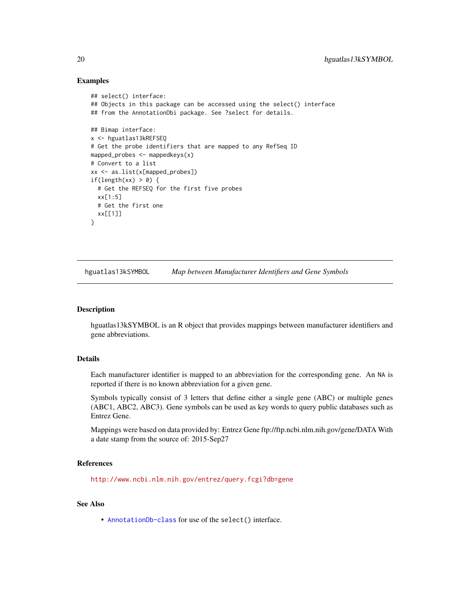#### Examples

```
## select() interface:
## Objects in this package can be accessed using the select() interface
## from the AnnotationDbi package. See ?select for details.
## Bimap interface:
x <- hguatlas13kREFSEQ
# Get the probe identifiers that are mapped to any RefSeq ID
mapped_probes <- mappedkeys(x)
# Convert to a list
xx <- as.list(x[mapped_probes])
if(length(xx) > 0) {
  # Get the REFSEQ for the first five probes
  xx[1:5]
  # Get the first one
  xx[[1]]
}
```
hguatlas13kSYMBOL *Map between Manufacturer Identifiers and Gene Symbols*

#### Description

hguatlas13kSYMBOL is an R object that provides mappings between manufacturer identifiers and gene abbreviations.

## Details

Each manufacturer identifier is mapped to an abbreviation for the corresponding gene. An NA is reported if there is no known abbreviation for a given gene.

Symbols typically consist of 3 letters that define either a single gene (ABC) or multiple genes (ABC1, ABC2, ABC3). Gene symbols can be used as key words to query public databases such as Entrez Gene.

Mappings were based on data provided by: Entrez Gene ftp://ftp.ncbi.nlm.nih.gov/gene/DATA With a date stamp from the source of: 2015-Sep27

#### References

<http://www.ncbi.nlm.nih.gov/entrez/query.fcgi?db=gene>

#### See Also

• [AnnotationDb-class](#page-0-0) for use of the select() interface.

<span id="page-19-0"></span>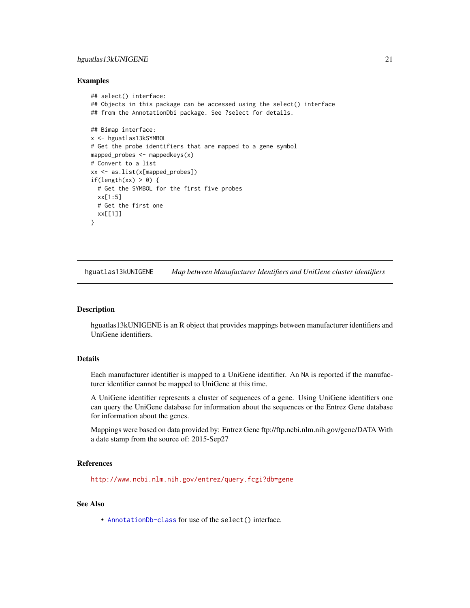## <span id="page-20-0"></span>hguatlas13kUNIGENE 21

#### Examples

```
## select() interface:
## Objects in this package can be accessed using the select() interface
## from the AnnotationDbi package. See ?select for details.
## Bimap interface:
x <- hguatlas13kSYMBOL
# Get the probe identifiers that are mapped to a gene symbol
mapped_probes <- mappedkeys(x)
# Convert to a list
xx <- as.list(x[mapped_probes])
if(length(xx) > 0) {
  # Get the SYMBOL for the first five probes
  xx[1:5]
  # Get the first one
  xx[[1]]
}
```
hguatlas13kUNIGENE *Map between Manufacturer Identifiers and UniGene cluster identifiers*

#### Description

hguatlas13kUNIGENE is an R object that provides mappings between manufacturer identifiers and UniGene identifiers.

## Details

Each manufacturer identifier is mapped to a UniGene identifier. An NA is reported if the manufacturer identifier cannot be mapped to UniGene at this time.

A UniGene identifier represents a cluster of sequences of a gene. Using UniGene identifiers one can query the UniGene database for information about the sequences or the Entrez Gene database for information about the genes.

Mappings were based on data provided by: Entrez Gene ftp://ftp.ncbi.nlm.nih.gov/gene/DATA With a date stamp from the source of: 2015-Sep27

#### References

<http://www.ncbi.nlm.nih.gov/entrez/query.fcgi?db=gene>

#### See Also

• [AnnotationDb-class](#page-0-0) for use of the select() interface.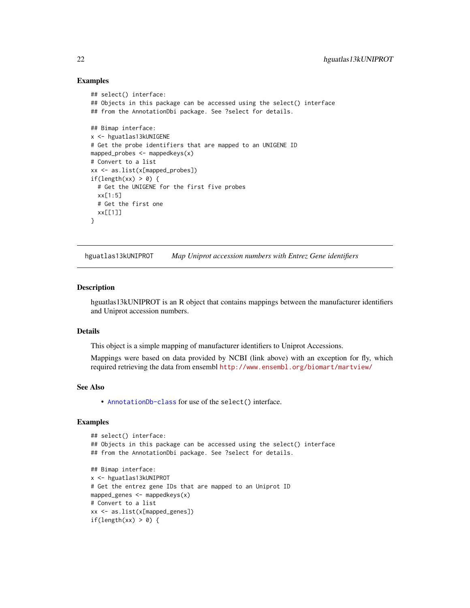#### Examples

```
## select() interface:
## Objects in this package can be accessed using the select() interface
## from the AnnotationDbi package. See ?select for details.
## Bimap interface:
x <- hguatlas13kUNIGENE
# Get the probe identifiers that are mapped to an UNIGENE ID
mapped_probes <- mappedkeys(x)
# Convert to a list
xx <- as.list(x[mapped_probes])
if(length(xx) > 0) {
  # Get the UNIGENE for the first five probes
  xx[1:5]
  # Get the first one
  xx[[1]]
}
```
hguatlas13kUNIPROT *Map Uniprot accession numbers with Entrez Gene identifiers*

#### Description

hguatlas13kUNIPROT is an R object that contains mappings between the manufacturer identifiers and Uniprot accession numbers.

## Details

This object is a simple mapping of manufacturer identifiers to Uniprot Accessions.

Mappings were based on data provided by NCBI (link above) with an exception for fly, which required retrieving the data from ensembl <http://www.ensembl.org/biomart/martview/>

#### See Also

• [AnnotationDb-class](#page-0-0) for use of the select() interface.

```
## select() interface:
## Objects in this package can be accessed using the select() interface
## from the AnnotationDbi package. See ?select for details.
## Bimap interface:
x <- hguatlas13kUNIPROT
# Get the entrez gene IDs that are mapped to an Uniprot ID
mapped_genes <- mappedkeys(x)
# Convert to a list
xx <- as.list(x[mapped_genes])
if(length(xx) > 0) {
```
<span id="page-21-0"></span>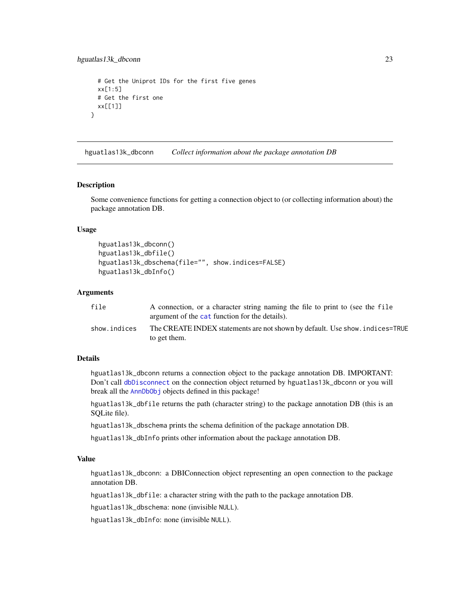```
# Get the Uniprot IDs for the first five genes
 xx[1:5]
 # Get the first one
 xx[[1]]
}
```
hguatlas13k\_dbconn *Collect information about the package annotation DB*

#### Description

Some convenience functions for getting a connection object to (or collecting information about) the package annotation DB.

#### Usage

```
hguatlas13k_dbconn()
hguatlas13k_dbfile()
hguatlas13k_dbschema(file="", show.indices=FALSE)
hguatlas13k_dbInfo()
```
## **Arguments**

| file         | A connection, or a character string naming the file to print to (see the file<br>argument of the cat function for the details). |
|--------------|---------------------------------------------------------------------------------------------------------------------------------|
| show.indices | The CREATE INDEX statements are not shown by default. Use show, indices=TRUE<br>to get them.                                    |

## Details

hguatlas13k\_dbconn returns a connection object to the package annotation DB. IMPORTANT: Don't call [dbDisconnect](#page-0-0) on the connection object returned by hguatlas13k\_dbconn or you will break all the [AnnDbObj](#page-0-0) objects defined in this package!

hguatlas13k\_dbfile returns the path (character string) to the package annotation DB (this is an SQLite file).

hguatlas13k\_dbschema prints the schema definition of the package annotation DB.

hguatlas13k\_dbInfo prints other information about the package annotation DB.

## Value

hguatlas13k\_dbconn: a DBIConnection object representing an open connection to the package annotation DB.

hguatlas13k\_dbfile: a character string with the path to the package annotation DB.

hguatlas13k\_dbschema: none (invisible NULL).

hguatlas13k\_dbInfo: none (invisible NULL).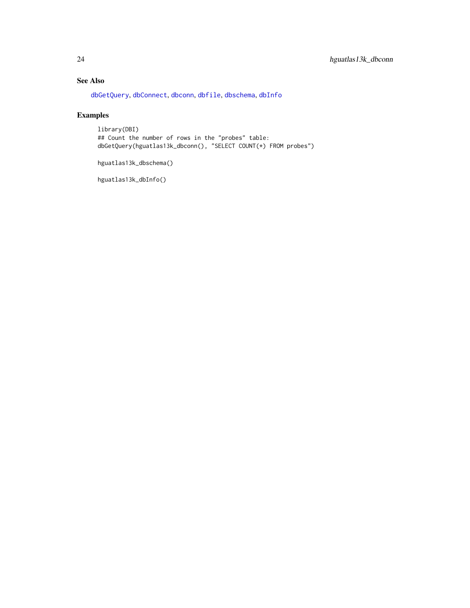## <span id="page-23-0"></span>See Also

[dbGetQuery](#page-0-0), [dbConnect](#page-0-0), [dbconn](#page-0-0), [dbfile](#page-0-0), [dbschema](#page-0-0), [dbInfo](#page-0-0)

## Examples

library(DBI) ## Count the number of rows in the "probes" table: dbGetQuery(hguatlas13k\_dbconn(), "SELECT COUNT(\*) FROM probes")

hguatlas13k\_dbschema()

hguatlas13k\_dbInfo()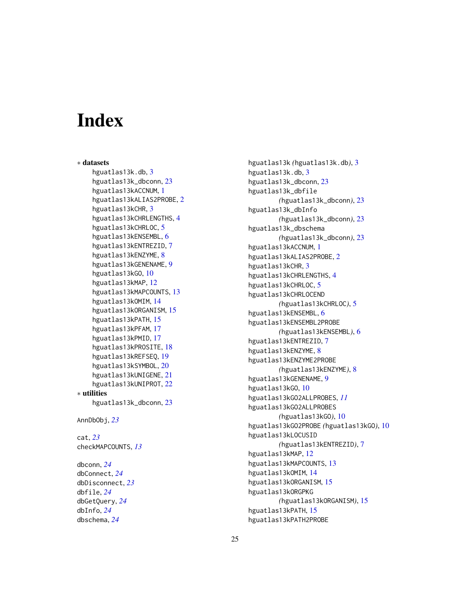# **Index**

∗ datasets hguatlas13k.db, [3](#page-2-0) hguatlas13k\_dbconn, [23](#page-22-0) hguatlas13kACCNUM, [1](#page-0-1) hguatlas13kALIAS2PROBE, [2](#page-1-0) hguatlas13kCHR, [3](#page-2-0) hguatlas13kCHRLENGTHS, [4](#page-3-0) hguatlas13kCHRLOC, [5](#page-4-0) hguatlas13kENSEMBL, [6](#page-5-0) hguatlas13kENTREZID, [7](#page-6-0) hguatlas13kENZYME, [8](#page-7-0) hguatlas13kGENENAME, [9](#page-8-0) hguatlas13kGO, [10](#page-9-1) hguatlas13kMAP, [12](#page-11-0) hguatlas13kMAPCOUNTS, [13](#page-12-0) hguatlas13kOMIM, [14](#page-13-0) hguatlas13kORGANISM, [15](#page-14-0) hguatlas13kPATH, [15](#page-14-0) hguatlas13kPFAM, [17](#page-16-0) hguatlas13kPMID, [17](#page-16-0) hguatlas13kPROSITE, [18](#page-17-0) hguatlas13kREFSEQ, [19](#page-18-0) hguatlas13kSYMBOL, [20](#page-19-0) hguatlas13kUNIGENE, [21](#page-20-0) hguatlas13kUNIPROT, [22](#page-21-0) ∗ utilities hguatlas13k\_dbconn, [23](#page-22-0) AnnDbObj, *[23](#page-22-0)* cat, *[23](#page-22-0)* checkMAPCOUNTS, *[13](#page-12-0)* dbconn, *[24](#page-23-0)* dbConnect, *[24](#page-23-0)* dbDisconnect, *[23](#page-22-0)* dbfile, *[24](#page-23-0)* dbGetQuery, *[24](#page-23-0)*

dbInfo, *[24](#page-23-0)* dbschema, *[24](#page-23-0)*

hguatlas13k *(*hguatlas13k.db*)*, [3](#page-2-0) hguatlas13k.db, [3](#page-2-0) hguatlas13k\_dbconn, [23](#page-22-0) hguatlas13k\_dbfile *(*hguatlas13k\_dbconn*)*, [23](#page-22-0) hguatlas13k\_dbInfo *(*hguatlas13k\_dbconn*)*, [23](#page-22-0) hguatlas13k\_dbschema *(*hguatlas13k\_dbconn*)*, [23](#page-22-0) hguatlas13kACCNUM, [1](#page-0-1) hguatlas13kALIAS2PROBE, [2](#page-1-0) hguatlas13kCHR, [3](#page-2-0) hguatlas13kCHRLENGTHS, [4](#page-3-0) hguatlas13kCHRLOC, [5](#page-4-0) hguatlas13kCHRLOCEND *(*hguatlas13kCHRLOC*)*, [5](#page-4-0) hguatlas13kENSEMBL, [6](#page-5-0) hguatlas13kENSEMBL2PROBE *(*hguatlas13kENSEMBL*)*, [6](#page-5-0) hguatlas13kENTREZID, [7](#page-6-0) hguatlas13kENZYME, [8](#page-7-0) hguatlas13kENZYME2PROBE *(*hguatlas13kENZYME*)*, [8](#page-7-0) hguatlas13kGENENAME, [9](#page-8-0) hguatlas13kGO, [10](#page-9-1) hguatlas13kGO2ALLPROBES, *[11](#page-10-0)* hguatlas13kGO2ALLPROBES *(*hguatlas13kGO*)*, [10](#page-9-1) hguatlas13kGO2PROBE *(*hguatlas13kGO*)*, [10](#page-9-1) hguatlas13kLOCUSID *(*hguatlas13kENTREZID*)*, [7](#page-6-0) hguatlas13kMAP, [12](#page-11-0) hguatlas13kMAPCOUNTS, [13](#page-12-0) hguatlas13kOMIM, [14](#page-13-0) hguatlas13kORGANISM, [15](#page-14-0) hguatlas13kORGPKG *(*hguatlas13kORGANISM*)*, [15](#page-14-0) hguatlas13kPATH, [15](#page-14-0) hguatlas13kPATH2PROBE